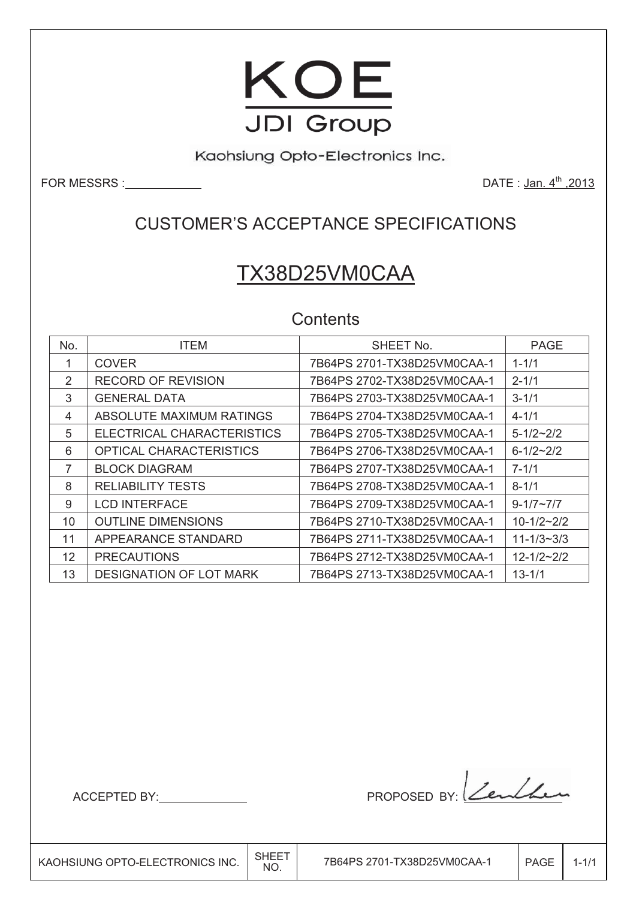

Kaohsiung Opto-Electronics Inc.

FOR MESSRS : NAMEL SERVICES

DATE: Jan. 4<sup>th</sup>, 2013

## **CUSTOMER'S ACCEPTANCE SPECIFICATIONS**

# TX38D25VM0CAA

## Contents

| No. | <b>ITEM</b>                    | SHEET No.                   | <b>PAGE</b>      |
|-----|--------------------------------|-----------------------------|------------------|
|     | <b>COVER</b>                   | 7B64PS 2701-TX38D25VM0CAA-1 | $1 - 1/1$        |
| 2   | <b>RECORD OF REVISION</b>      |                             | $2 - 1/1$        |
| 3   | <b>GENERAL DATA</b>            |                             | $3 - 1/1$        |
| 4   | ABSOLUTE MAXIMUM RATINGS       | 7B64PS 2704-TX38D25VM0CAA-1 | $4 - 1/1$        |
| 5   | ELECTRICAL CHARACTERISTICS     | 7B64PS 2705-TX38D25VM0CAA-1 | $5 - 1/2 - 2/2$  |
| 6   | <b>OPTICAL CHARACTERISTICS</b> |                             | $6 - 1/2 - 2/2$  |
| 7   | <b>BLOCK DIAGRAM</b>           | 7B64PS 2707-TX38D25VM0CAA-1 | $7 - 1/1$        |
| 8   | <b>RELIABILITY TESTS</b>       | 7B64PS 2708-TX38D25VM0CAA-1 | $8 - 1/1$        |
| 9   | <b>LCD INTERFACE</b>           |                             | $9 - 1/7 - 7/7$  |
| 10  | <b>OUTLINE DIMENSIONS</b>      | 7B64PS 2710-TX38D25VM0CAA-1 | $10-1/2-2/2$     |
| 11  | APPEARANCE STANDARD            | 7B64PS 2711-TX38D25VM0CAA-1 | $11 - 1/3 - 3/3$ |
| 12  | <b>PRECAUTIONS</b>             | 7B64PS 2712-TX38D25VM0CAA-1 | $12 - 1/2 - 2/2$ |
| 13  | <b>DESIGNATION OF LOT MARK</b> | 7B64PS 2713-TX38D25VM0CAA-1 | $13 - 1/1$       |

ACCEPTED BY:

PROPOSED BY: Zenthen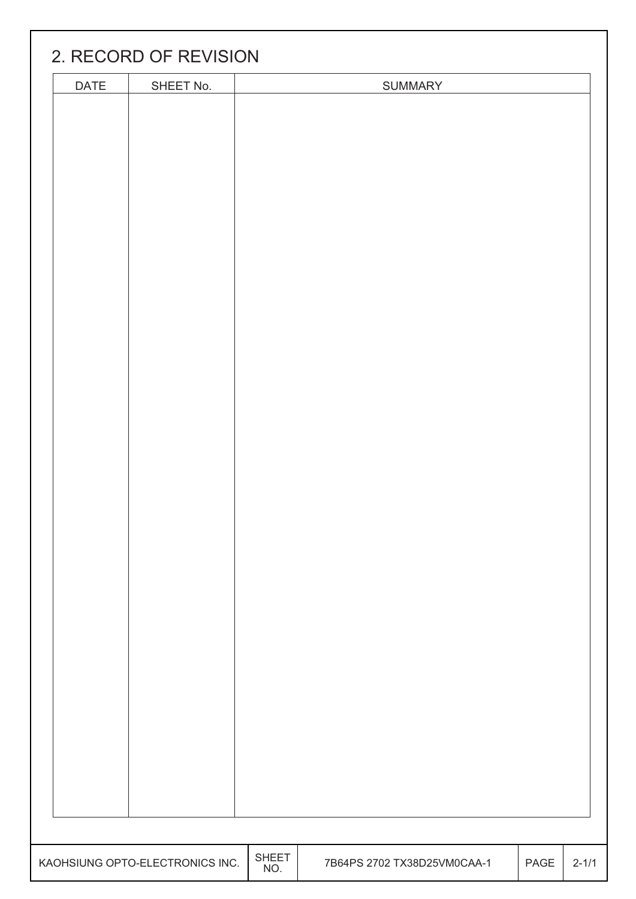|      | 2. RECORD OF REVISION          |              |                             |      |           |
|------|--------------------------------|--------------|-----------------------------|------|-----------|
| DATE | SHEET No.                      |              | SUMMARY                     |      |           |
|      |                                |              |                             |      |           |
|      |                                |              |                             |      |           |
|      |                                |              |                             |      |           |
|      |                                |              |                             |      |           |
|      |                                |              |                             |      |           |
|      |                                |              |                             |      |           |
|      |                                |              |                             |      |           |
|      |                                |              |                             |      |           |
|      |                                |              |                             |      |           |
|      |                                |              |                             |      |           |
|      |                                |              |                             |      |           |
|      |                                |              |                             |      |           |
|      |                                |              |                             |      |           |
|      |                                |              |                             |      |           |
|      |                                |              |                             |      |           |
|      |                                |              |                             |      |           |
|      |                                |              |                             |      |           |
|      |                                |              |                             |      |           |
|      |                                |              |                             |      |           |
|      |                                |              |                             |      |           |
|      |                                |              |                             |      |           |
|      |                                |              |                             |      |           |
|      |                                |              |                             |      |           |
|      |                                |              |                             |      |           |
|      |                                |              |                             |      |           |
|      |                                |              |                             |      |           |
|      |                                |              |                             |      |           |
|      |                                |              |                             |      |           |
|      |                                |              |                             |      |           |
|      |                                |              |                             |      |           |
|      |                                |              |                             |      |           |
|      |                                |              |                             |      |           |
|      |                                |              |                             |      |           |
|      |                                |              |                             |      |           |
|      |                                |              |                             |      |           |
|      |                                |              |                             |      |           |
|      |                                |              |                             |      |           |
|      | AOHSIUNG OPTO-ELECTRONICS INC. | SHEET<br>NO. | 7B64PS 2702 TX38D25VM0CAA-1 | PAGE | $2 - 1/1$ |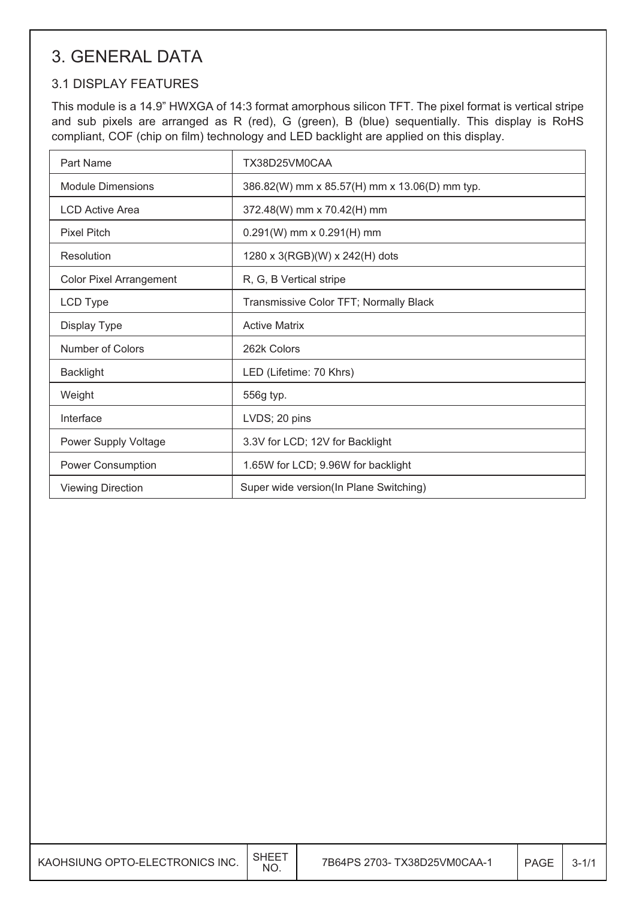## **3. GENERAL DATA**

## **3.1 DISPLAY FEATURES**

This module is a 14.9" HWXGA of 14:3 format amorphous silicon TFT. The pixel format is vertical stripe and sub pixels are arranged as R (red), G (green), B (blue) sequentially. This display is RoHS compliant, COF (chip on film) technology and LED backlight are applied on this display.

| Part Name                      | TX38D25VM0CAA                                 |
|--------------------------------|-----------------------------------------------|
| <b>Module Dimensions</b>       | 386.82(W) mm x 85.57(H) mm x 13.06(D) mm typ. |
| <b>LCD Active Area</b>         | 372.48(W) mm x 70.42(H) mm                    |
| <b>Pixel Pitch</b>             | $0.291(W)$ mm x $0.291(H)$ mm                 |
| Resolution                     | 1280 x 3(RGB)(W) x 242(H) dots                |
| <b>Color Pixel Arrangement</b> | R, G, B Vertical stripe                       |
| LCD Type                       | Transmissive Color TFT; Normally Black        |
| Display Type                   | <b>Active Matrix</b>                          |
| Number of Colors               | 262k Colors                                   |
| <b>Backlight</b>               | LED (Lifetime: 70 Khrs)                       |
| Weight                         | 556g typ.                                     |
| Interface                      | LVDS; 20 pins                                 |
| Power Supply Voltage           | 3.3V for LCD; 12V for Backlight               |
| Power Consumption              | 1.65W for LCD; 9.96W for backlight            |
| <b>Viewing Direction</b>       | Super wide version(In Plane Switching)        |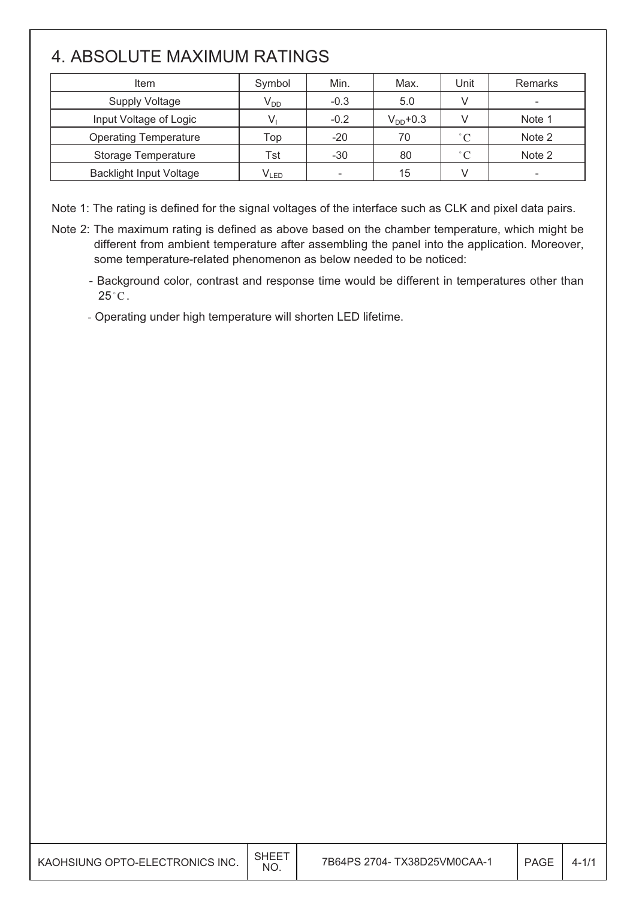## 4. ABSOLUTE MAXIMUM RATINGS

| Item                           | Symbol          | Min.                     | Max.          | Unit         | Remarks |
|--------------------------------|-----------------|--------------------------|---------------|--------------|---------|
| <b>Supply Voltage</b>          | V <sub>DD</sub> | $-0.3$                   | 5.0           |              |         |
| Input Voltage of Logic         |                 | $-0.2$                   | $V_{DD}$ +0.3 |              | Note 1  |
| <b>Operating Temperature</b>   | Top             | $-20$                    | 70            | $^{\circ}$ C | Note 2  |
| <b>Storage Temperature</b>     | Tst             | $-30$                    | 80            | $^{\circ}C$  | Note 2  |
| <b>Backlight Input Voltage</b> | $V_{LED}$       | $\overline{\phantom{a}}$ | 15            |              |         |

Note 1: The rating is defined for the signal voltages of the interface such as CLK and pixel data pairs.

- Note 2: The maximum rating is defined as above based on the chamber temperature, which might be different from ambient temperature after assembling the panel into the application. Moreover, some temperature-related phenomenon as below needed to be noticed:
	- Background color, contrast and response time would be different in temperatures other than  $25^{\circ}$ C.

- Operating under high temperature will shorten LED lifetime.

| KAOHSIUNG OPTO-ELECTRONICS INC. | <b>SHEET</b><br>NO. | 7B64PS 2704- TX38D25VM0CAA-1 | PAGE | $4 - 1/1$ |
|---------------------------------|---------------------|------------------------------|------|-----------|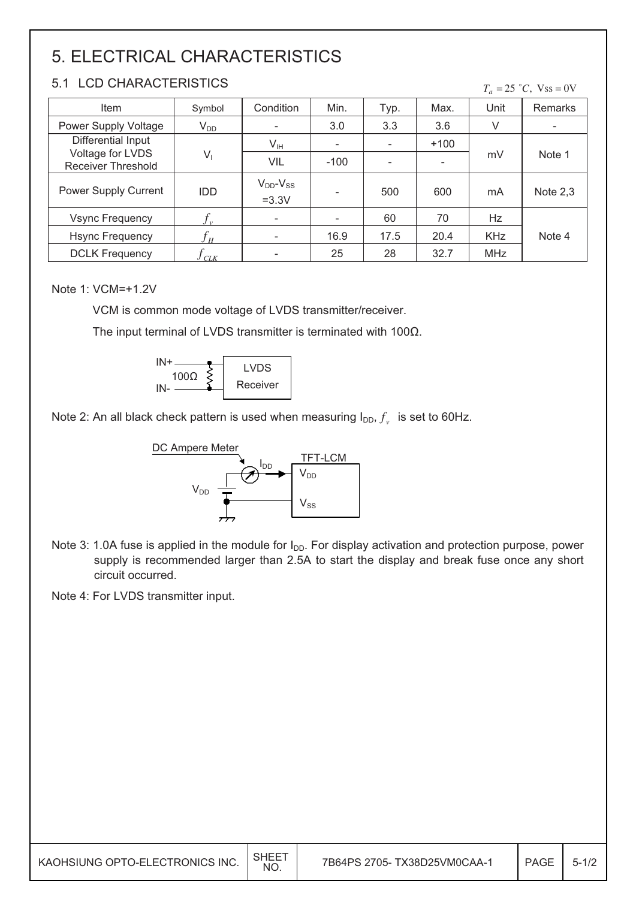## 5. ELECTRICAL CHARACTERISTICS

### 5.1 LCD CHARACTERISTICS

|  | $T_a = 25 °C$ , Vss = 0V |
|--|--------------------------|
|  |                          |

| Item                                          | Symbol                     | Condition                      | Min.   | Typ.                     | Max.                     | Unit       | <b>Remarks</b> |  |
|-----------------------------------------------|----------------------------|--------------------------------|--------|--------------------------|--------------------------|------------|----------------|--|
| Power Supply Voltage                          | $V_{DD}$                   |                                | 3.0    | 3.3                      | 3.6                      | V          |                |  |
| Differential Input                            |                            | $V_{\text{IH}}$                |        |                          | $+100$                   |            |                |  |
| Voltage for LVDS<br><b>Receiver Threshold</b> | $V_1$                      | VIL                            | $-100$ | $\overline{\phantom{0}}$ | $\overline{\phantom{0}}$ | mV         | Note 1         |  |
| Power Supply Current                          | <b>IDD</b>                 | $V_{DD}$ - $V_{SS}$<br>$=3.3V$ |        | 500                      | 600                      | mA         | Note $2,3$     |  |
| <b>Vsync Frequency</b>                        |                            | $\overline{\phantom{a}}$       |        | 60                       | 70                       | Hz         |                |  |
| <b>Hsync Frequency</b>                        | $f_{\scriptscriptstyle H}$ |                                | 16.9   | 17.5                     | 20.4                     | <b>KHz</b> | Note 4         |  |
| <b>DCLK Frequency</b>                         | CLK                        |                                | 25     | 28                       | 32.7                     | <b>MHz</b> |                |  |

#### Note 1: VCM=+1.2V

VCM is common mode voltage of LVDS transmitter/receiver.

The input terminal of LVDS transmitter is terminated with  $100\Omega$ .



Note 2: An all black check pattern is used when measuring  $I_{DD}$ ,  $f_v$  is set to 60Hz.



Note 3: 1.0A fuse is applied in the module for I<sub>DD</sub>. For display activation and protection purpose, power supply is recommended larger than 2.5A to start the display and break fuse once any short circuit occurred.

Note 4: For LVDS transmitter input.

| SHEE <sup>-</sup><br>7B64PS 2705- TX38D25VM0CAA-1<br>KAOHSIUNG OPTO-ELECTRONICS INC.<br>PAGE<br>NO. |  |  |  |  | $5 - 1/2$ |
|-----------------------------------------------------------------------------------------------------|--|--|--|--|-----------|
|-----------------------------------------------------------------------------------------------------|--|--|--|--|-----------|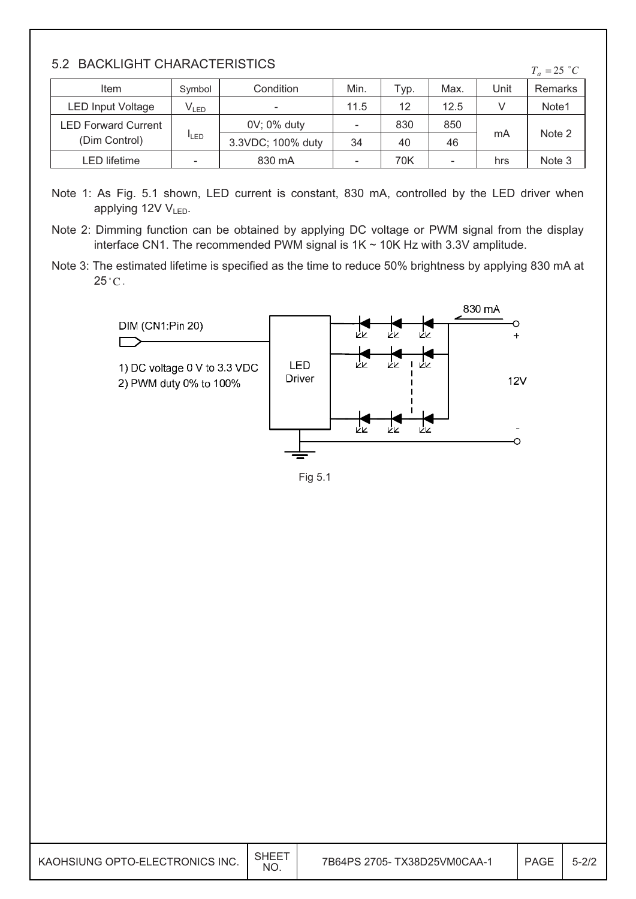#### 5.2 BACKLIGHT CHARACTERISTICS

| <u>J.Z DAUNLIUMI UMARAUTERIJITUJ</u><br>$T_a = 25$ °C |             |                          |                          |      |      |      |         |
|-------------------------------------------------------|-------------|--------------------------|--------------------------|------|------|------|---------|
| Item                                                  | Symbol      | Condition                | Min.                     | Typ. | Max. | Unit | Remarks |
| <b>LED Input Voltage</b>                              | $V_{LED}$   | $\overline{\phantom{0}}$ | 11.5                     | 12   | 12.5 |      | Note1   |
| <b>LED Forward Current</b>                            |             | 0V; 0% duty              | -                        | 830  | 850  |      |         |
| (Dim Control)                                         | <b>ILED</b> | 3.3VDC; 100% duty        | 34                       | 40   | 46   | mA   | Note 2  |
| <b>LED</b> lifetime                                   |             | 830 mA                   | $\overline{\phantom{a}}$ | 70K  |      | hrs  | Note 3  |

- Note 1: As Fig. 5.1 shown, LED current is constant, 830 mA, controlled by the LED driver when applying 12V V<sub>LED</sub>.
- Note 2: Dimming function can be obtained by applying DC voltage or PWM signal from the display interface CN1. The recommended PWM signal is  $1K \sim 10K$  Hz with 3.3V amplitude.
- Note 3: The estimated lifetime is specified as the time to reduce 50% brightness by applying 830 mA at  $25^{\circ}$ C.



Fig 5.1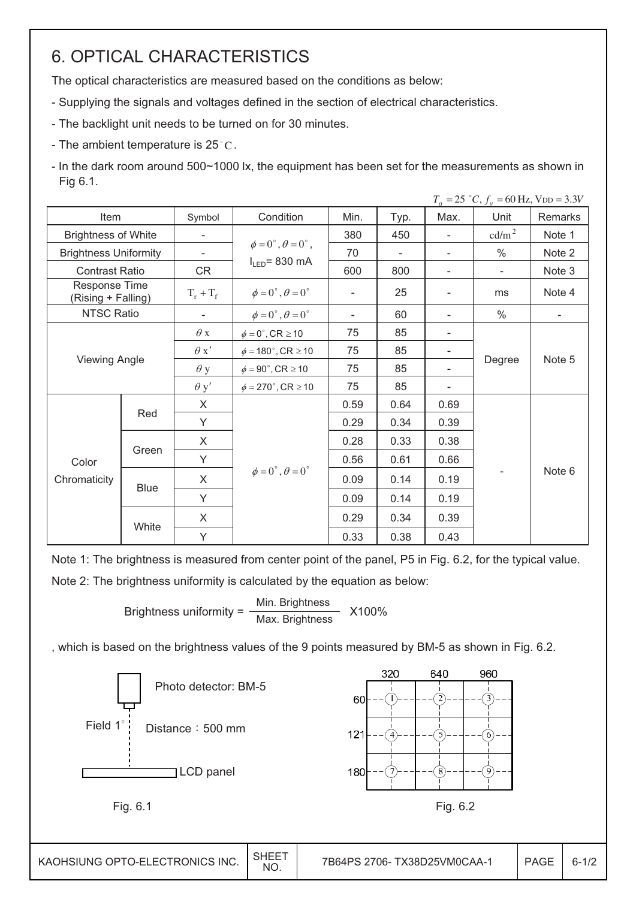## **6. OPTICAL CHARACTERISTICS**

The optical characteristics are measured based on the conditions as below:

- Supplying the signals and voltages defined in the section of electrical characteristics.
- The backlight unit needs to be turned on for 30 minutes.
- The ambient temperature is  $25^{\circ}$ C.
- In the dark room around 500~1000 lx, the equipment has been set for the measurements as shown in Fig 6.1.

|                                     |       |             |                                         |                          |      |                              | $I_a = 23$ C, $J_v = 00$ Hz, VDD = 3.3V |                          |
|-------------------------------------|-------|-------------|-----------------------------------------|--------------------------|------|------------------------------|-----------------------------------------|--------------------------|
| Item                                |       | Symbol      | Condition                               | Min.                     | Typ. | Max.                         | Unit                                    | Remarks                  |
| <b>Brightness of White</b>          |       |             |                                         | 380                      | 450  | $\overline{\phantom{a}}$     | cd/m <sup>2</sup>                       | Note 1                   |
| <b>Brightness Uniformity</b>        |       |             | $\phi = 0^{\circ}, \theta = 0^{\circ},$ | 70                       |      |                              | $\%$                                    | Note 2                   |
| <b>Contrast Ratio</b>               |       | CR          | $I_{LED}$ = 830 mA                      | 600                      | 800  | -                            | $\overline{\phantom{a}}$                | Note 3                   |
| Response Time<br>(Rising + Falling) |       | $T_r + T_f$ | $\phi = 0^\circ$ , $\theta = 0^\circ$   | $\overline{\phantom{a}}$ | 25   | $\qquad \qquad \blacksquare$ | ms                                      | Note 4                   |
| <b>NTSC Ratio</b>                   |       |             | $\phi = 0^\circ$ , $\theta = 0^\circ$   | $\overline{\phantom{a}}$ | 60   | $\overline{\phantom{a}}$     | $\frac{0}{0}$                           | $\overline{\phantom{a}}$ |
|                                     |       |             | $\phi = 0^\circ$ , CR $\geq 10$         | 75                       | 85   | $\overline{\phantom{a}}$     |                                         |                          |
|                                     |       | $\theta x'$ | $\phi = 180^\circ$ , CR $\geq 10$       | 75                       | 85   | $\overline{\phantom{a}}$     |                                         | Note 5                   |
| <b>Viewing Angle</b>                |       | $\theta$ y  | $\phi = 90^\circ$ , CR $\geq 10$        | 75                       | 85   |                              | Degree                                  |                          |
|                                     |       | $\theta$ y' | $\phi = 270^\circ$ , CR $\geq 10$       | 75                       | 85   | $\overline{\phantom{a}}$     |                                         |                          |
|                                     |       | X           |                                         | 0.59                     | 0.64 | 0.69                         |                                         |                          |
|                                     | Red   | Y           |                                         | 0.29                     | 0.34 | 0.39                         |                                         |                          |
|                                     |       | X           |                                         | 0.28                     | 0.33 | 0.38                         |                                         |                          |
| Color                               | Green | Y           |                                         | 0.56                     | 0.61 | 0.66                         |                                         |                          |
| Chromaticity                        |       | X           | $\phi = 0^\circ$ , $\theta = 0^\circ$   | 0.09                     | 0.14 | 0.19                         |                                         | Note 6                   |
|                                     | Blue  | Y           |                                         | 0.09                     | 0.14 | 0.19                         |                                         |                          |
|                                     |       | X.          |                                         | 0.29                     | 0.34 | 0.39                         |                                         |                          |
|                                     | White | Y           |                                         | 0.33                     | 0.38 | 0.43                         |                                         |                          |

Note 1: The brightness is measured from center point of the panel, P5 in Fig. 6.2, for the typical value. Note 2: The brightness uniformity is calculated by the equation as below:

> Min. Brightness Brightness uniformity  $=$ X100% Max. Brightness

, which is based on the brightness values of the 9 points measured by BM-5 as shown in Fig. 6.2.

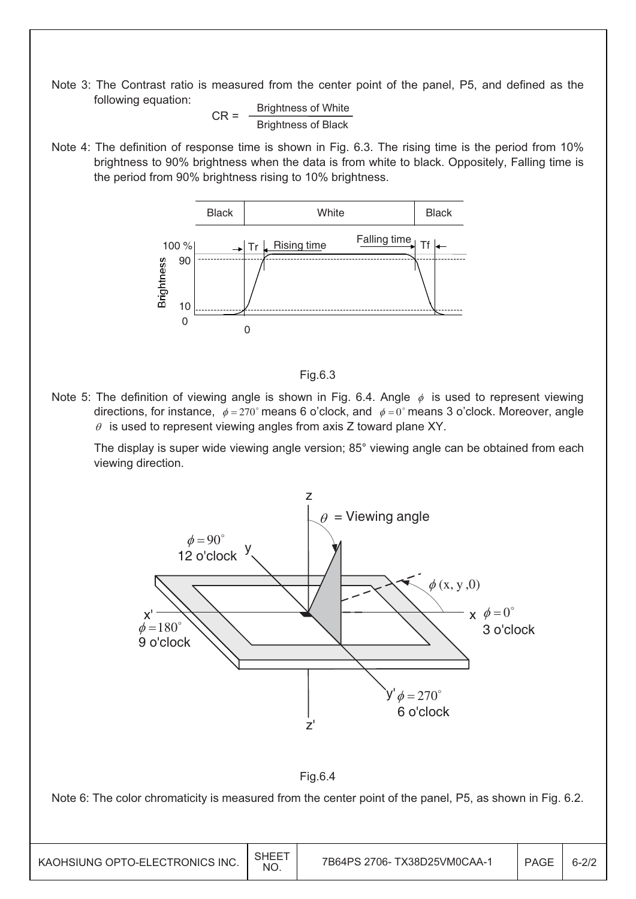Note 3: The Contrast ratio is measured from the center point of the panel, P5, and defined as the following equation:

 $CR =$   $\frac{\text{Brighness of White}}{\text{Brighness}}$ Brightness of Black

Note 4: The definition of response time is shown in Fig. 6.3. The rising time is the period from 10% brightness to 90% brightness when the data is from white to black. Oppositely, Falling time is the period from 90% brightness rising to 10% brightness.





Note 5: The definition of viewing angle is shown in Fig. 6.4. Angle  $\phi$  is used to represent viewing directions, for instance,  $\phi = 270^\circ$  means 6 o'clock, and  $\phi = 0^\circ$  means 3 o'clock. Moreover, angle  $\theta$  is used to represent viewing angles from axis Z toward plane XY.

The display is super wide viewing angle version; 85° viewing angle can be obtained from each viewing direction.

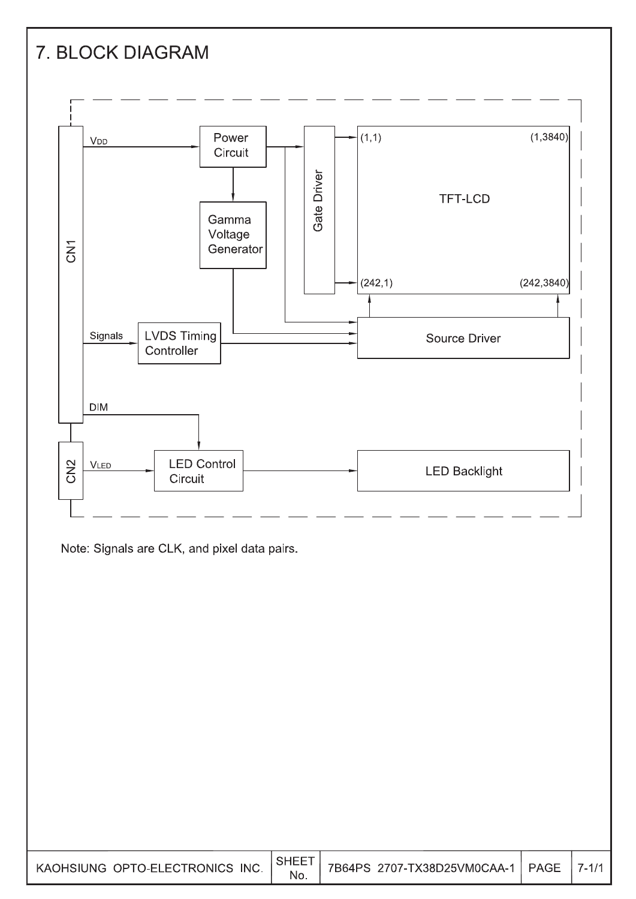

No.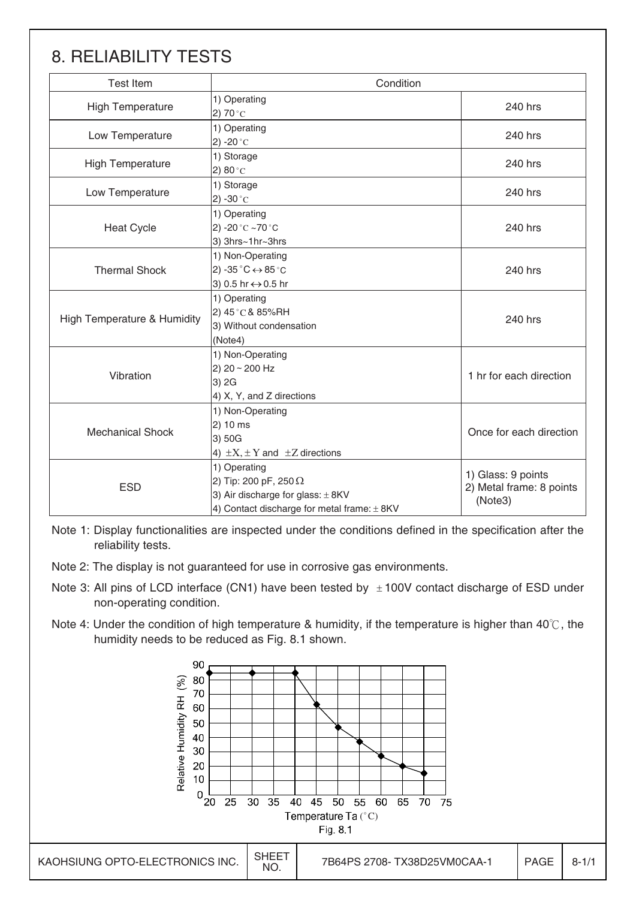## 8. RELIABILITY TESTS

| <b>Test Item</b>            | Condition                                                                                                                                |                                                           |
|-----------------------------|------------------------------------------------------------------------------------------------------------------------------------------|-----------------------------------------------------------|
| <b>High Temperature</b>     | 1) Operating<br>2) 70 $^{\circ}$ C                                                                                                       | 240 hrs                                                   |
| Low Temperature             | 1) Operating<br>2) -20 $^{\circ}$ C                                                                                                      | 240 hrs                                                   |
| <b>High Temperature</b>     | 1) Storage<br>2) $80^{\circ}$ C                                                                                                          | 240 hrs                                                   |
| Low Temperature             | 1) Storage<br>2) -30 $^{\circ}$ C                                                                                                        | 240 hrs                                                   |
| <b>Heat Cycle</b>           | 1) Operating<br>2) -20 $^{\circ}$ C ~70 $^{\circ}$ C<br>3) 3hrs~1hr~3hrs                                                                 | 240 hrs                                                   |
| <b>Thermal Shock</b>        | 1) Non-Operating<br>2) -35 $^{\circ}$ C $\leftrightarrow$ 85 $^{\circ}$ C<br>3) 0.5 hr ↔ 0.5 hr                                          | 240 hrs                                                   |
| High Temperature & Humidity | 1) Operating<br>2) 45°C& 85%RH<br>3) Without condensation<br>(Note4)                                                                     | 240 hrs                                                   |
| Vibration                   | 1) Non-Operating<br>2) 20 ~ 200 Hz<br>3) 2G<br>4) X, Y, and Z directions                                                                 | 1 hr for each direction                                   |
| <b>Mechanical Shock</b>     | 1) Non-Operating<br>2) 10 ms<br>3) 50G<br>4) $\pm X$ , $\pm Y$ and $\pm Z$ directions                                                    | Once for each direction                                   |
| <b>ESD</b>                  | 1) Operating<br>2) Tip: 200 pF, 250 $\Omega$<br>3) Air discharge for glass: $\pm$ 8KV<br>4) Contact discharge for metal frame: $\pm$ 8KV | 1) Glass: 9 points<br>2) Metal frame: 8 points<br>(Note3) |

Note 1: Display functionalities are inspected under the conditions defined in the specification after the reliability tests.

Note 2: The display is not guaranteed for use in corrosive gas environments.

- Note 3: All pins of LCD interface (CN1) have been tested by  $\pm 100V$  contact discharge of ESD under non-operating condition.
- Note 4: Under the condition of high temperature & humidity, if the temperature is higher than  $40^{\circ}$ C, the humidity needs to be reduced as Fig. 8.1 shown.

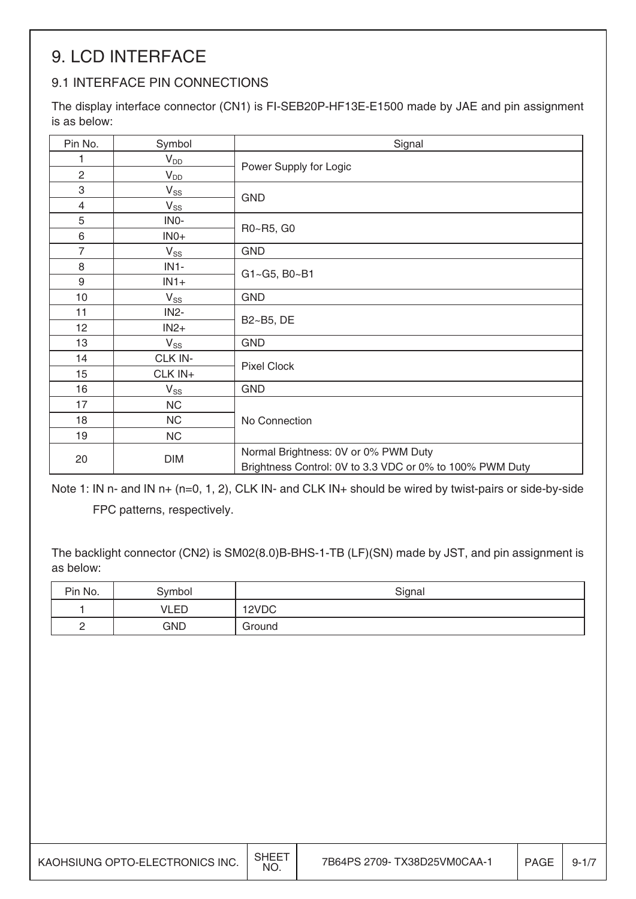## 9. LCD INTERFACE

## 9.1 INTERFACE PIN CONNECTIONS

The display interface connector (CN1) is FI-SEB20P-HF13E-E1500 made by JAE and pin assignment is as below:

| Pin No.        | Symbol            | Signal                                                   |
|----------------|-------------------|----------------------------------------------------------|
| 1              | $V_{DD}$          |                                                          |
| $\overline{2}$ | $V_{DD}$          | Power Supply for Logic                                   |
| 3              | $V_{SS}$          | <b>GND</b>                                               |
| $\overline{4}$ | $V_{SS}$          |                                                          |
| 5              | INO-              | R0~R5, G0                                                |
| $\,6\,$        | $INO+$            |                                                          |
| $\overline{7}$ | $V_{SS}$          | <b>GND</b>                                               |
| 8              | $IN1-$            | G1~G5, B0~B1                                             |
| $9\,$          | $IN1+$            |                                                          |
| 10             | $V_{SS}$          | <b>GND</b>                                               |
| 11             | IN <sub>2</sub> - | B2~B5, DE                                                |
| 12             | $IN2+$            |                                                          |
| 13             | $V_{SS}$          | <b>GND</b>                                               |
| 14             | CLK IN-           | <b>Pixel Clock</b>                                       |
| 15             | CLK IN+           |                                                          |
| 16             | $V_{SS}$          | <b>GND</b>                                               |
| 17             | <b>NC</b>         |                                                          |
| 18             | <b>NC</b>         | No Connection                                            |
| 19             | <b>NC</b>         |                                                          |
| 20             | <b>DIM</b>        | Normal Brightness: 0V or 0% PWM Duty                     |
|                |                   | Brightness Control: 0V to 3.3 VDC or 0% to 100% PWM Duty |

Note 1: IN n- and IN n+ (n=0, 1, 2), CLK IN- and CLK IN+ should be wired by twist-pairs or side-by-side FPC patterns, respectively.

The backlight connector (CN2) is SM02(8.0)B-BHS-1-TB (LF)(SN) made by JST, and pin assignment is as below:

| Pin No.  | Symbol     | Signal |
|----------|------------|--------|
|          | VLED       | 12VDC  |
| <u>_</u> | <b>GND</b> | Ground |

| KAOHSIUNG OPTO-ELECTRONICS INC. | <b>SHEET</b><br>NO. | 7B64PS 2709- TX38D25VM0CAA-1 | <b>PAGE</b> | $9 - 1/$ |
|---------------------------------|---------------------|------------------------------|-------------|----------|
|---------------------------------|---------------------|------------------------------|-------------|----------|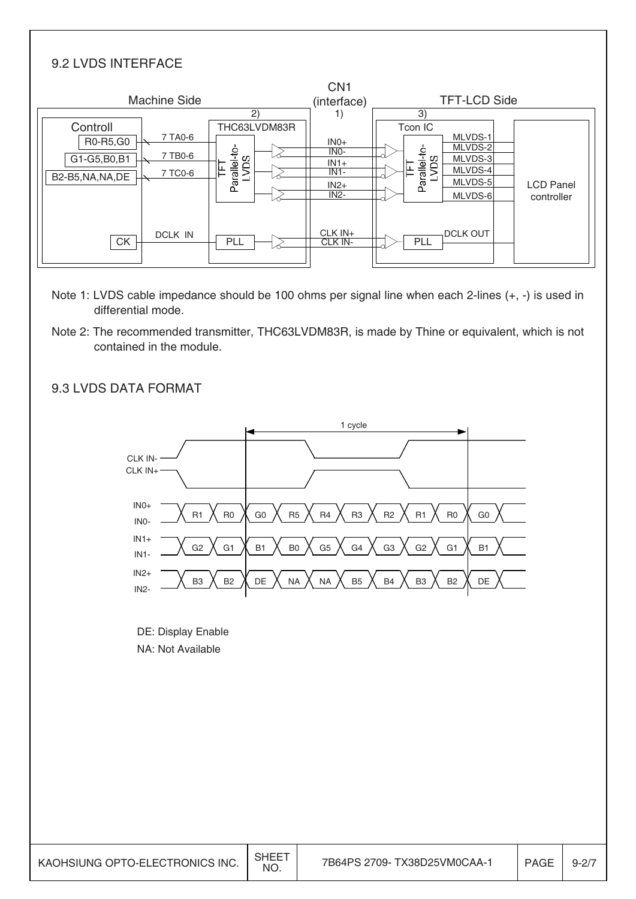### 9.2 LVDS INTERFACE

|                              |                    | CN <sub>1</sub>    |                                 |                  |
|------------------------------|--------------------|--------------------|---------------------------------|------------------|
| <b>Machine Side</b>          |                    | (interface)        | <b>TFT-LCD Side</b>             |                  |
|                              | 2)                 | 1)                 | 3)                              |                  |
| Controll                     | THC63LVDM83R       |                    | Tcon IC                         |                  |
| 7 TA0-6<br>R0-R5, G0         |                    | $INO+$             | MLVDS-1                         |                  |
| 7 TB0-6                      |                    | INO-               | MLVDS-2<br>Parallel-to-<br>LVDS |                  |
| G1-G5, B0, B1                | Parallel-to-<br>ΟS | $IN1+$             | MLVDS-3                         |                  |
| 7 TC0-6<br>B2-B5, NA, NA, DE | ⊫                  | $IN1-$             | MLVDS-4                         |                  |
|                              |                    | $IN2+$             | MLVDS-5                         | <b>LCD Panel</b> |
|                              |                    | IN <sub>2</sub> -  | MLVDS-6                         | controller       |
| <b>DCLK IN</b><br><b>CK</b>  | PLL                | CLK IN+<br>CLK IN- | <b>DCLK OUT</b><br>PLL          |                  |
|                              |                    |                    |                                 |                  |

- Note 1: LVDS cable impedance should be 100 ohms per signal line when each 2-lines (+, -) is used in differential mode.
- Note 2: The recommended transmitter, THC63LVDM83R, is made by Thine or equivalent, which is not contained in the module.

### R1  $\bigwedge$  R0  $\bigwedge$  G0  $\bigwedge$  R5  $\bigwedge$  R4  $\bigwedge$  R3  $\bigwedge$  R2  $\bigwedge$  R1  $\bigwedge$  R0  $\bigwedge$  G0 G2 G1 B1 B0 G5 G4 G3 G2 G1 B1 B3  $\bigwedge$  B2  $\bigwedge$  DE  $\bigwedge$  NA  $\bigwedge$  NA  $\bigwedge$  B5  $\bigwedge$  B4  $\bigwedge$  B3  $\bigwedge$  B2  $\bigwedge$  DE 1 cycle CLK IN-CLK IN+ IN0+ IN0- IN1+ IN1- IN2+ IN2-

#### 9.3 LVDS DATA FORMAT

DE: Display Enable NA: Not Available

| KAOHSIUNG OPTO-ELECTRONICS INC. | <b>SHEET</b><br><b>NO</b> | 7B64PS 2709- TX38D25VM0CAA-1 | <b>PAGE</b> | $9 - 2/7$ |
|---------------------------------|---------------------------|------------------------------|-------------|-----------|
|---------------------------------|---------------------------|------------------------------|-------------|-----------|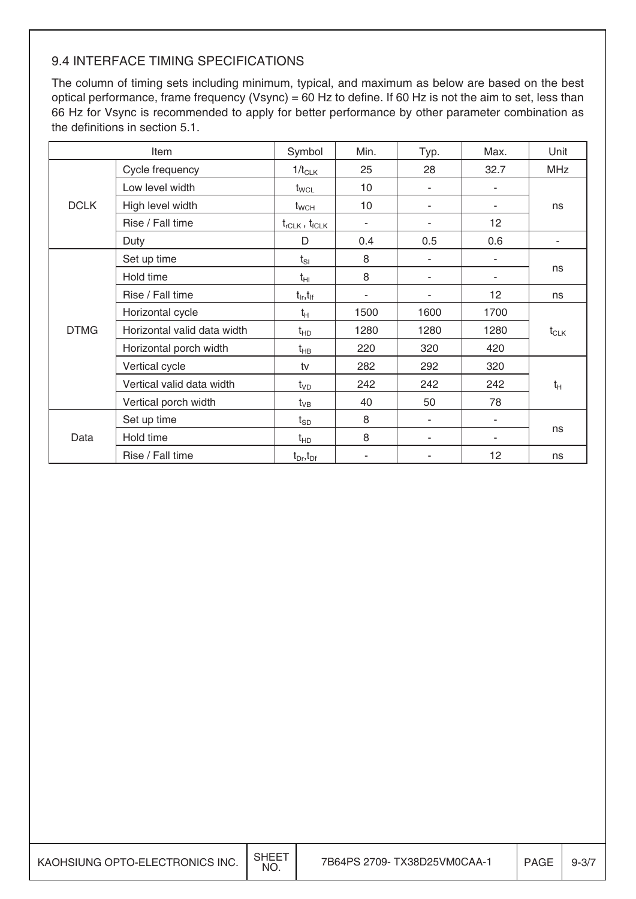## 9.4 INTERFACE TIMING SPECIFICATIONS

The column of timing sets including minimum, typical, and maximum as below are based on the best optical performance, frame frequency (Vsync) = 60 Hz to define. If 60 Hz is not the aim to set, less than 66 Hz for Vsync is recommended to apply for better performance by other parameter combination as the definitions in section 5.1.

|             | Item                        | Symbol                         | Min.          | Typ. | Max. | Unit       |  |  |
|-------------|-----------------------------|--------------------------------|---------------|------|------|------------|--|--|
|             | Cycle frequency             | $1/t_{CLK}$                    | 25            | 28   | 32.7 | <b>MHz</b> |  |  |
|             | Low level width             | $t_{\text{WCL}}$               | 10            | ٠    |      |            |  |  |
| <b>DCLK</b> | High level width            | $t_{\text{WCH}}$               | 10            | ۰    | ٠    | ns         |  |  |
|             | Rise / Fall time            | $t_{rCLK}$ , $t_{fCLK}$        | $\frac{1}{2}$ |      | 12   |            |  |  |
|             | Duty                        | D                              | 0.4           | 0.5  | 0.6  | ٠          |  |  |
|             | Set up time                 | $t_{SI}$                       | 8             |      |      |            |  |  |
|             | Hold time                   | tнı                            | 8             |      |      | ns         |  |  |
|             | Rise / Fall time            | $t_{\text{lr}}, t_{\text{lf}}$ |               |      | 12   | ns         |  |  |
|             | Horizontal cycle            | $t_H$                          | 1500          | 1600 | 1700 |            |  |  |
| <b>DTMG</b> | Horizontal valid data width | $t_{HD}$                       | 1280          | 1280 | 1280 | $t_{CLK}$  |  |  |
|             | Horizontal porch width      | $t_{HB}$                       | 220           | 320  | 420  |            |  |  |
|             | Vertical cycle              | tv                             | 282           | 292  | 320  |            |  |  |
|             | Vertical valid data width   | $t_{VD}$                       | 242           | 242  | 242  | $t_H$      |  |  |
|             | Vertical porch width        | $t_{VB}$                       | 40            | 50   |      |            |  |  |
|             | Set up time                 | $t_{SD}$                       | 8             | ۰    | ٠    |            |  |  |
| Data        | Hold time                   | $t_{HD}$                       | 8             |      |      | ns         |  |  |
|             | Rise / Fall time            | $t_{Dr}, t_{Df}$               |               |      | 12   | ns         |  |  |

| KAOHSIUNG OPTO-ELECTRONICS INC. | <b>SHEET</b><br>NO. | 7B64PS 2709- TX38D25VM0CAA-1 | PAGE | $9 - 3/7$ |
|---------------------------------|---------------------|------------------------------|------|-----------|
|---------------------------------|---------------------|------------------------------|------|-----------|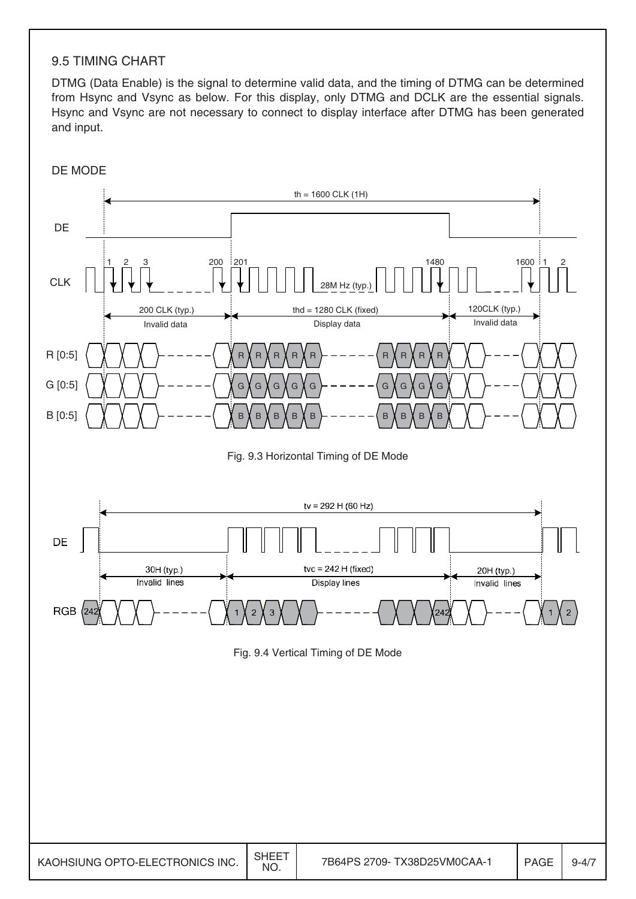#### 9.5 TIMING CHART

DTMG (Data Enable) is the signal to determine valid data, and the timing of DTMG can be determined from Hsync and Vsync as below. For this display, only DTMG and DCLK are the essential signals. Hsync and Vsync are not necessary to connect to display interface after DTMG has been generated and input.

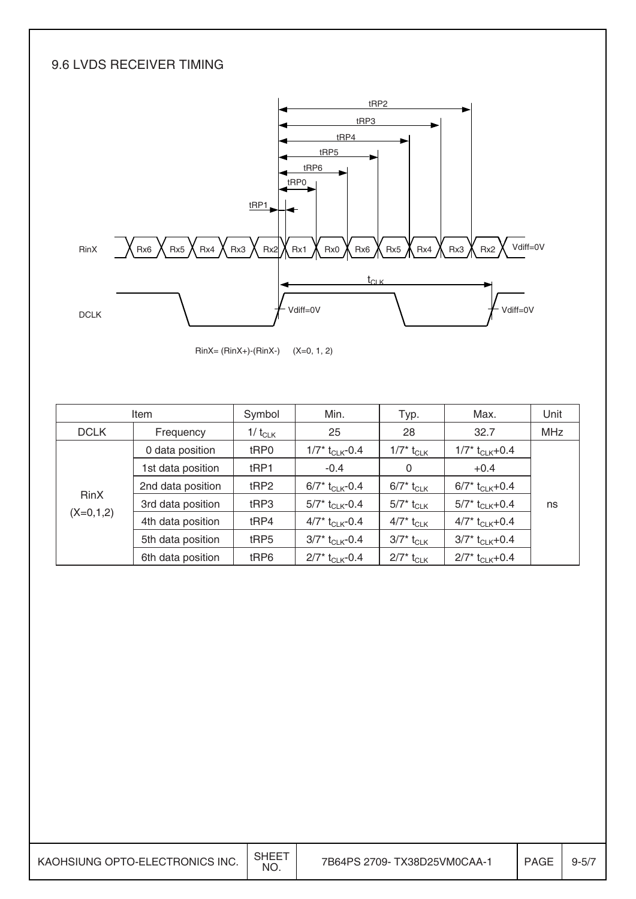### 9.6 LVDS RECEIVER TIMING



RinX= (RinX+)-(RinX-) (X=0, 1, 2)

|             | Item              |                  | Min.                          | Typ.                                   | Max.                          | Unit |
|-------------|-------------------|------------------|-------------------------------|----------------------------------------|-------------------------------|------|
| <b>DCLK</b> | Frequency         | 1/ $t_{CLK}$     | 25                            | 28                                     | 32.7                          | MHz  |
|             | 0 data position   | tRP0             | $1/7$ * t <sub>CLK</sub> -0.4 | 1/7* $t_{\scriptstyle\textrm{CLK}}$    | $1/7$ * t <sub>CLK</sub> +0.4 |      |
|             | 1st data position | t <sub>RP1</sub> | $-0.4$                        | 0                                      | $+0.4$                        |      |
|             | 2nd data position | tRP2             | $6/7^*$ t <sub>CLK</sub> -0.4 | $6/7^*$ t <sub>CLK</sub>               | $6/7$ * t <sub>CLK</sub> +0.4 |      |
| <b>RinX</b> | 3rd data position | tRP3             | $5/7^*$ t <sub>CLK</sub> -0.4 | $5/7^*$ t <sub>CLK</sub>               | $5/7$ * t <sub>CLK</sub> +0.4 | ns   |
| $(X=0,1,2)$ | 4th data position | tRP4             | $4/7$ t <sub>CLK</sub> -0.4   | 4/7* $t_{\scriptstyle\textrm{CLK}}$    | $4/7^*$ t <sub>CLK</sub> +0.4 |      |
|             | 5th data position | tRP5             | $3/7^*$ t <sub>CLK</sub> -0.4 | $3/7^*$ $t_{\scriptstyle\textrm{CLK}}$ | $3/7^*$ t <sub>CLK</sub> +0.4 |      |
|             | 6th data position | tRP6             | $2/7$ t <sub>CLK</sub> -0.4   | $2/7$ <sup>*</sup> t <sub>CLK</sub>    | $2/7$ * t <sub>CLK</sub> +0.4 |      |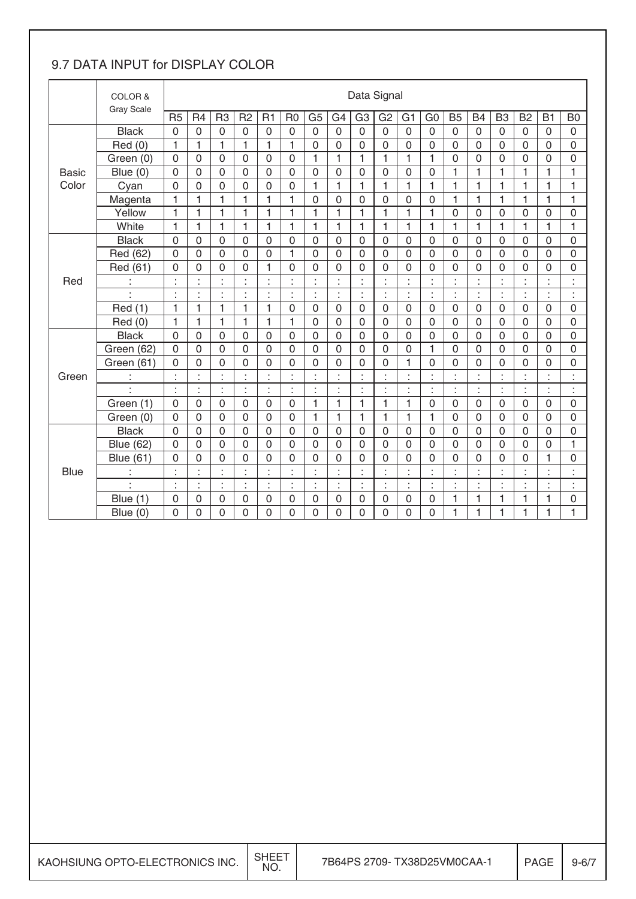## 9.7 DATA INPUT for DISPLAY COLOR

|              | COLOR &<br><b>Gray Scale</b> |                |                |                              |                     |                  |                |                     |                | Data Signal    |                |                |                |                          |                |                |                |                     |                  |
|--------------|------------------------------|----------------|----------------|------------------------------|---------------------|------------------|----------------|---------------------|----------------|----------------|----------------|----------------|----------------|--------------------------|----------------|----------------|----------------|---------------------|------------------|
|              |                              | R <sub>5</sub> | R <sub>4</sub> | R <sub>3</sub>               | R <sub>2</sub>      | R1               | R <sub>0</sub> | G <sub>5</sub>      | G <sub>4</sub> | G <sub>3</sub> | G <sub>2</sub> | G <sub>1</sub> | G <sub>0</sub> | <b>B5</b>                | <b>B4</b>      | B <sub>3</sub> | <b>B2</b>      | <b>B1</b>           | B <sub>0</sub>   |
|              | <b>Black</b>                 | $\overline{0}$ | $\overline{0}$ | 0                            | $\overline{0}$      | $\overline{0}$   | $\overline{0}$ | $\mathbf 0$         | $\overline{0}$ | $\overline{0}$ | $\overline{0}$ | $\overline{0}$ | $\overline{0}$ | $\overline{0}$           | 0              | $\overline{0}$ | 0              | $\overline{0}$      | $\mathbf 0$      |
|              | Red(0)                       | $\mathbf{1}$   | 1              | 1                            | 1                   | 1                | 1              | $\mathbf 0$         | $\mathbf 0$    | $\mathbf 0$    | 0              | 0              | 0              | $\mathbf 0$              | $\mathbf 0$    | $\mathbf 0$    | 0              | 0                   | $\overline{0}$   |
|              | Green (0)                    | $\mathbf 0$    | $\mathbf 0$    | $\mathbf 0$                  | $\mathbf 0$         | $\mathbf 0$      | $\mathbf 0$    | 1                   | $\mathbf{1}$   | $\mathbf{1}$   | $\mathbf{1}$   | 1              | 1              | $\mathbf 0$              | $\mathbf 0$    | $\mathbf 0$    | $\mathsf 0$    | $\mathbf 0$         | $\mathbf 0$      |
| <b>Basic</b> | Blue (0)                     | $\overline{0}$ | 0              | 0                            | $\overline{0}$      | $\mathbf 0$      | $\overline{0}$ | $\mathbf 0$         | $\mathbf 0$    | $\mathbf 0$    | $\mathbf 0$    | $\mathbf 0$    | $\mathbf 0$    | 1                        | 1              | 1              | 1              | 1                   | 1                |
| Color        | Cyan                         | $\Omega$       | 0              | 0                            | $\Omega$            | $\mathbf 0$      | $\Omega$       | 1                   | 1              | 1              | 1              | 1              | 1              | 1                        | 1              | 1              | 1              | 1                   | 1                |
|              | Magenta                      | 1              | 1              | 1                            | 1                   | 1                | 1              | $\mathsf{O}\xspace$ | 0              | 0              | 0              | $\mathbf 0$    | $\mathbf 0$    | $\mathbf{1}$             | 1              | 1              | 1              | 1                   | 1                |
|              | Yellow                       | $\mathbf{1}$   | 1              | 1                            | 1                   | 1                | 1              | 1                   | $\mathbf{1}$   | 1              | $\mathbf{1}$   | 1              | 1              | $\mathbf 0$              | $\mathbf 0$    | $\mathbf 0$    | 0              | 0                   | $\mathbf 0$      |
|              | White                        | $\mathbf{1}$   | 1              | 1                            | 1                   | 1                | 1              | 1                   | 1              | 1              | 1              | 1              | 1              | $\mathbf{1}$             | 1              | $\mathbf{1}$   | 1              | 1                   | 1                |
|              | <b>Black</b>                 | $\mathbf 0$    | 0              | 0                            | 0                   | $\mathbf 0$      | $\overline{0}$ | $\overline{0}$      | 0              | $\mathbf{0}$   | 0              | $\mathbf 0$    | $\overline{0}$ | $\overline{0}$           | $\mathbf{0}$   | $\mathbf 0$    | 0              | 0                   | $\mathbf 0$      |
|              | Red (62)                     | $\overline{0}$ | $\overline{0}$ | 0                            | $\mathbf 0$         | $\mathbf 0$      | $\mathbf{1}$   | $\overline{0}$      | $\overline{0}$ | $\overline{0}$ | $\mathbf 0$    | $\mathbf 0$    | $\overline{0}$ | $\overline{0}$           | $\overline{0}$ | $\mathbf 0$    | $\mathbf 0$    | 0                   | $\mathbf 0$      |
|              | Red (61)                     | $\mathbf 0$    | 0              | $\overline{0}$               | $\mathbf 0$         | $\mathbf{1}$     | $\mathbf 0$    | $\mathbf 0$         | $\mathbf 0$    | $\mathbf 0$    | 0              | 0              | $\overline{0}$ | $\mathbf 0$              | $\mathbf 0$    | $\overline{0}$ | $\overline{0}$ | 0                   | $\overline{0}$   |
| Red          |                              |                | ä,<br>ä,       | Ŷ.<br>à.                     | ×<br>à,             | $\epsilon$<br>÷. |                | à.<br>à.            | à.<br>à.       | Ŷ.             | Ì              |                | k,<br>×,       | $\epsilon$<br>$\epsilon$ | ä,             | t              |                | ä,<br>×,            | $\epsilon$<br>×. |
|              |                              | ä,             | $\blacksquare$ | $\blacksquare$<br>$\epsilon$ | $\blacksquare$<br>× | ċ                |                | ł,                  | t              | ł              | ł,             | à.             | ÷              | t                        | ŀ              | ÷              | ¥,             | $\blacksquare$<br>٠ | $\ddot{\cdot}$   |
|              | Red (1)                      | $\mathbf{1}$   | 1              | 1                            | 1                   | 1                | $\mathbf 0$    | $\mathbf 0$         | 0              | 0              | $\mathbf 0$    | $\mathbf 0$    | $\mathbf 0$    | $\mathbf 0$              | 0              | $\mathbf 0$    | 0              | 0                   | $\mathbf 0$      |
|              | Red (0)                      | $\mathbf{1}$   | 1              | 1                            | 1                   | $\mathbf{1}$     | 1              | $\mathbf 0$         | $\mathbf 0$    | $\mathbf{0}$   | $\mathbf 0$    | $\mathbf 0$    | $\mathbf 0$    | $\mathbf 0$              | 0              | $\mathbf 0$    | $\mathbf 0$    | 0                   | $\overline{0}$   |
|              | <b>Black</b>                 | $\mathbf 0$    | $\mathbf 0$    | 0                            | $\mathbf 0$         | $\mathbf 0$      | $\overline{0}$ | $\mathbf 0$         | $\mathbf 0$    | 0              | $\mathbf 0$    | $\mathbf 0$    | $\mathbf 0$    | $\mathbf 0$              | 0              | $\mathbf 0$    | $\mathbf 0$    | 0                   | $\mathbf 0$      |
|              | Green (62)                   | $\overline{0}$ | $\overline{0}$ | 0                            | $\mathbf{0}$        | $\mathbf 0$      | $\overline{0}$ | $\overline{0}$      | $\mathbf 0$    | $\overline{0}$ | $\mathbf 0$    | $\mathbf 0$    | 1              | $\mathbf 0$              | $\overline{0}$ | $\mathbf 0$    | $\overline{0}$ | 0                   | $\mathbf 0$      |
|              | Green (61)                   | 0              | $\mathbf 0$    | 0                            | $\mathbf 0$         | 0                | $\overline{0}$ | $\mathbf 0$         | 0              | 0              | 0              | 1              | $\mathbf 0$    | 0                        | 0              | 0              | 0              | 0                   | 0                |
| Green        | t                            | t              | ł,             | t                            | t                   | ċ                | ÷              | ł,                  | ċ              | ċ              | ÷              | ÷              | ł,             | t                        | t              | t              | ł,             | ċ                   | t                |
|              | ä,                           | ÷              | ł.             | t                            | ÷                   | ċ                | t              | ł,                  | ł,             | t              | $\ddot{\cdot}$ | à.             | ł,             | $\ddot{\cdot}$           | t              | ÷              | ¥,             | ł,                  | $\ddot{\cdot}$   |
|              | Green (1)                    | $\mathbf 0$    | $\mathbf 0$    | $\mathbf 0$                  | $\mathbf 0$         | $\mathbf 0$      | $\mathbf 0$    | 1                   | $\mathbf{1}$   | $\mathbf{1}$   | $\mathbf{1}$   | 1              | $\mathsf 0$    | $\mathbf 0$              | 0              | $\mathbf 0$    | $\mathsf 0$    | $\mathbf 0$         | $\mathbf 0$      |
|              | Green (0)                    | $\Omega$       | 0              | 0                            | $\mathbf 0$         | $\mathbf 0$      | $\overline{0}$ | 1                   | 1              | 1              | 1              | 1              | 1              | $\mathbf 0$              | $\mathbf 0$    | $\mathbf 0$    | 0              | 0                   | 0                |
|              | <b>Black</b>                 | $\Omega$       | $\mathbf 0$    | $\mathbf 0$                  | $\Omega$            | $\mathbf 0$      | $\mathbf 0$    | $\mathbf 0$         | 0              | 0              | $\mathbf 0$    | $\mathbf 0$    | $\overline{0}$ | 0                        | 0              | $\mathbf 0$    | $\mathbf 0$    | 0                   | $\mathbf 0$      |
|              | <b>Blue (62)</b>             | $\mathbf 0$    | $\mathbf 0$    | 0                            | $\overline{0}$      | $\mathbf 0$      | $\overline{0}$ | $\mathbf 0$         | $\mathbf 0$    | $\mathbf 0$    | $\mathbf 0$    | $\mathbf 0$    | $\mathbf 0$    | $\mathbf 0$              | $\mathbf 0$    | $\overline{0}$ | $\overline{0}$ | 0                   | 1                |
|              | <b>Blue (61)</b>             | 0              | 0              | 0                            | 0                   | 0                | $\Omega$       | $\mathbf 0$         | $\mathbf 0$    | 0              | 0              | 0              | 0              | $\mathbf 0$              | $\overline{0}$ | $\mathbf 0$    | 0              | 1                   | 0                |
| <b>Blue</b>  | t                            | t              | ł.             | ÷                            | ċ                   | t                | t              | t                   | ÷              | t              | t              | ÷              | ÷              | t                        | t              | ÷              | t.             | ÷                   | t                |
|              | ä,                           | ÷              | ł.             | ÷,                           | ÷                   | ċ                | ÷              | ł,                  | ÷              | t              | t.             | ł.             | ł.             | ÷                        | t              | ÷              | ÷.             | ÷                   | ÷                |
|              | Blue $(1)$                   | 0              | 0              | 0                            | 0                   | $\mathbf 0$      | $\mathbf 0$    | $\mathbf 0$         | 0              | 0              | 0              | 0              | 0              | $\mathbf{1}$             | 1              | 1              | 1              | 1                   | 0                |
|              | Blue (0)                     | 0              | 0              | 0                            | 0                   | $\overline{0}$   | $\mathbf 0$    | 0                   | $\overline{0}$ | 0              | 0              | 0              | 0              | 1                        | 1              | 1              | 1              | 1                   | 1                |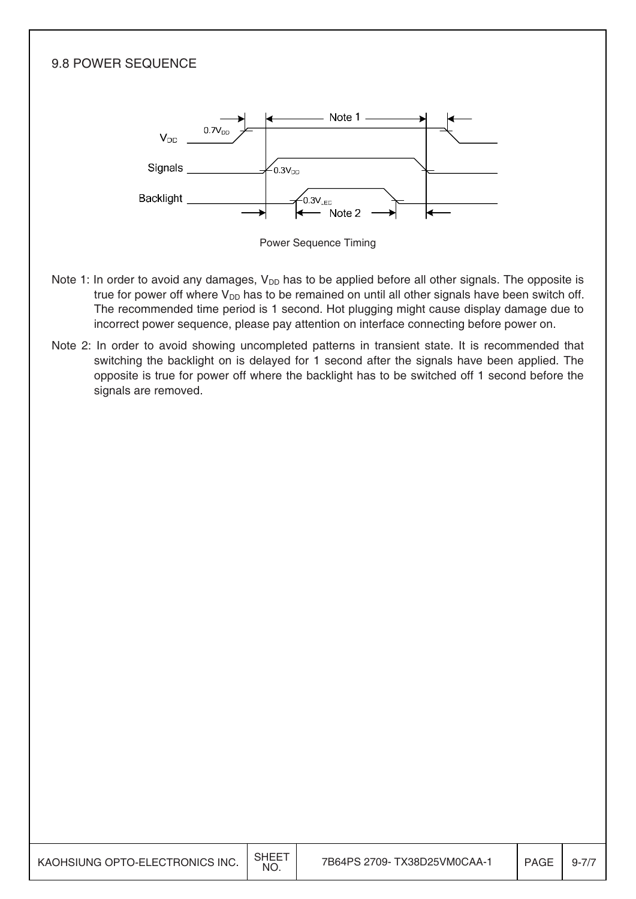

| KAOHSIUNG OPTO-ELECTRONICS INC. | <b>SHEET</b><br><b>NO</b> | 7B64PS 2709- TX38D25VM0CAA-1 | <b>PAGE</b> | $9 - 11$ |
|---------------------------------|---------------------------|------------------------------|-------------|----------|
|---------------------------------|---------------------------|------------------------------|-------------|----------|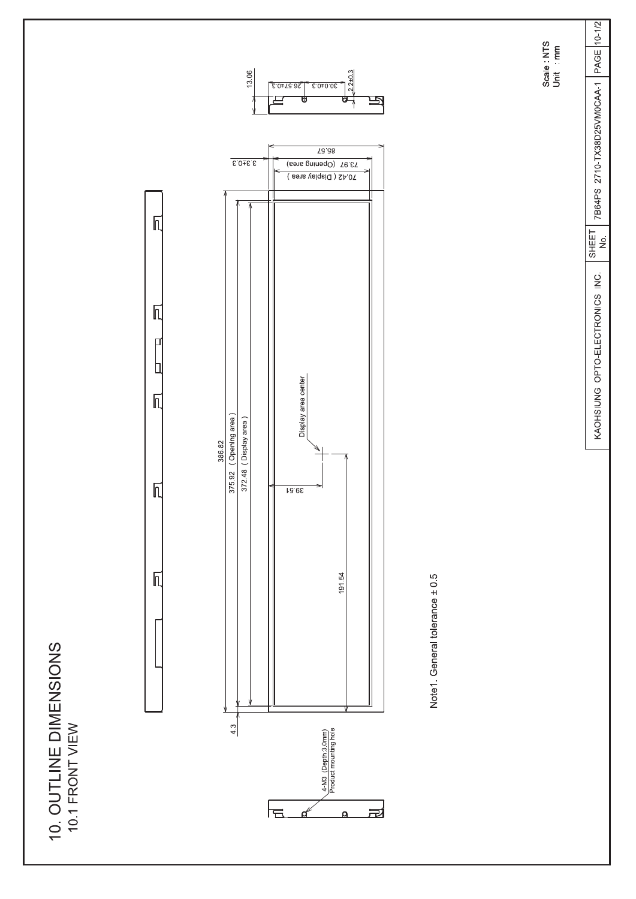





Scale : NTS<br>Unit : mm

7B64PS 2710-TX38D25VM0CAA-1 PAGE 10-1/2  $\begin{array}{c} \hline \text{SHEFT} \\ \text{N0} \end{array}$ KAOHSIUNG OPTO-ELECTRONICS INC.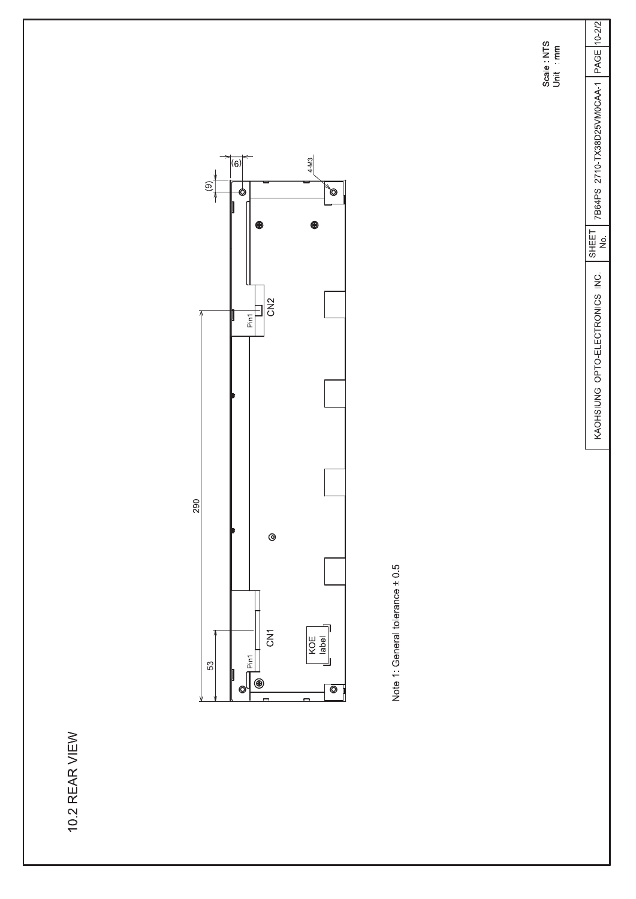10.2 REAR VIEW



Note 1: General tolerance ± 0.5

 $\begin{tabular}{|c|c|c|c|c|} \hline \text{SHEET} & \text{7B64PS} & \text{2710-TX38D25VM0CAA-1} & \text{PAGE} & \text{10-2/2} \\ \hline \text{NO.} & & & & \\ \hline \end{tabular}$ 

KAOHSIUNG OPTO-ELECTRONICS INC.

Scale : NTS<br>Unit : mm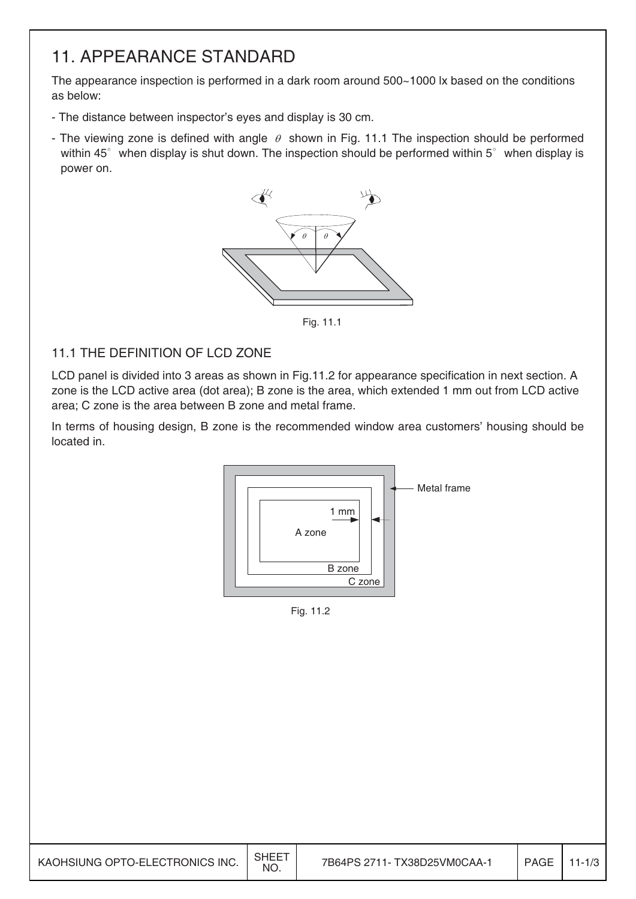## 11. APPEARANCE STANDARD

The appearance inspection is performed in a dark room around 500~1000 lx based on the conditions as below:

- The distance between inspector's eyes and display is 30 cm.
- The viewing zone is defined with angle  $\theta$  shown in Fig. 11.1 The inspection should be performed within  $45^\circ$  when display is shut down. The inspection should be performed within  $5^\circ$  when display is power on.



Fig. 11.1

### 11.1 THE DEFINITION OF LCD ZONE

LCD panel is divided into 3 areas as shown in Fig.11.2 for appearance specification in next section. A zone is the LCD active area (dot area); B zone is the area, which extended 1 mm out from LCD active area; C zone is the area between B zone and metal frame.

In terms of housing design, B zone is the recommended window area customers' housing should be located in.



Fig. 11.2

| KAOHSIUNG OPTO-ELECTRONICS INC. | SHEET<br>NO. | 7B64PS 2711- TX38D25VM0CAA-1 | <b>PAGE</b> | $1 - 1/3$ |
|---------------------------------|--------------|------------------------------|-------------|-----------|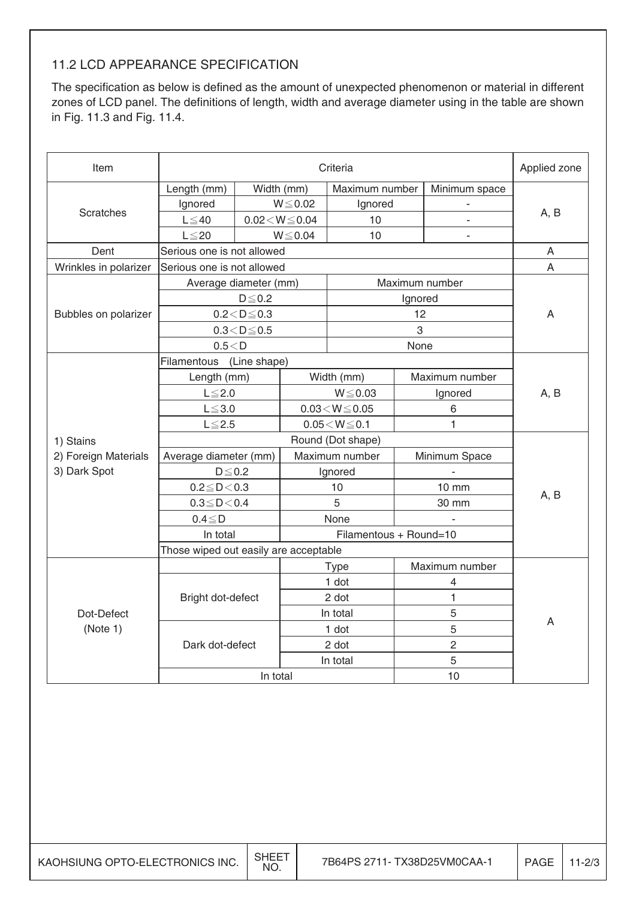### 11.2 LCD APPEARANCE SPECIFICATION

The specification as below is defined as the amount of unexpected phenomenon or material in different zones of LCD panel. The definitions of length, width and average diameter using in the table are shown in Fig. 11.3 and Fig. 11.4.

| Item                  |                                       |                                         |                          | Criteria                |                |                | Applied zone |  |
|-----------------------|---------------------------------------|-----------------------------------------|--------------------------|-------------------------|----------------|----------------|--------------|--|
|                       | Length (mm)                           |                                         | Width (mm)               | Maximum number          |                | Minimum space  |              |  |
|                       | Ignored                               |                                         | $W \le 0.02$             | Ignored                 |                |                |              |  |
| <b>Scratches</b>      | $L \leq 40$                           |                                         | $0.02\!<\!W\!\leq\!0.04$ | 10                      |                |                | A, B         |  |
|                       | $L \leq 20$                           |                                         | $W \le 0.04$             | 10                      |                |                |              |  |
| Dent                  | Serious one is not allowed            |                                         |                          |                         |                |                | A            |  |
| Wrinkles in polarizer | Serious one is not allowed            |                                         |                          |                         |                |                | A            |  |
|                       |                                       | Average diameter (mm)<br>Maximum number |                          |                         |                |                |              |  |
|                       |                                       | $D \le 0.2$                             |                          |                         | Ignored        |                |              |  |
| Bubbles on polarizer  |                                       | $0.2 < D \le 0.3$                       |                          |                         | 12             |                | A            |  |
|                       |                                       | $0.3 < D \le 0.5$                       |                          |                         | 3              |                |              |  |
|                       | 0.5 < D                               |                                         |                          |                         | None           |                |              |  |
|                       | Filamentous (Line shape)              |                                         |                          |                         |                |                |              |  |
|                       | Length (mm)                           |                                         |                          | Width (mm)              |                | Maximum number |              |  |
|                       | $L \leq 2.0$                          |                                         |                          | $W \le 0.03$            |                | Ignored        | A, B         |  |
|                       | $L \le 3.0$                           |                                         |                          | $0.03 \leq W \leq 0.05$ |                | 6              |              |  |
|                       | $L \leq 2.5$                          |                                         |                          | $0.05 \leq W \leq 0.1$  |                | 1              |              |  |
| 1) Stains             |                                       |                                         | Round (Dot shape)        |                         |                |                |              |  |
| 2) Foreign Materials  | Average diameter (mm)                 |                                         |                          | Maximum number          |                | Minimum Space  |              |  |
| 3) Dark Spot          | $D \le 0.2$                           |                                         |                          | Ignored                 |                |                |              |  |
|                       | $0.2 \leq D < 0.3$                    |                                         |                          | 10                      | <b>10 mm</b>   |                | A, B         |  |
|                       | $0.3 \le D < 0.4$                     |                                         |                          | 5                       | 30 mm          |                |              |  |
|                       | $0.4 \leq D$                          |                                         | None                     |                         |                |                |              |  |
|                       | In total                              |                                         |                          | Filamentous + Round=10  |                |                |              |  |
|                       | Those wiped out easily are acceptable |                                         |                          |                         |                |                |              |  |
|                       |                                       |                                         |                          | <b>Type</b>             |                | Maximum number |              |  |
|                       |                                       |                                         |                          | 1 dot                   |                | 4              |              |  |
|                       | Bright dot-defect                     |                                         |                          | 2 dot                   |                | $\mathbf{1}$   |              |  |
| Dot-Defect            |                                       |                                         |                          | In total                |                | 5              | A            |  |
| (Note 1)              |                                       |                                         |                          | 1 dot                   | 5              |                |              |  |
|                       | Dark dot-defect                       |                                         |                          | 2 dot                   | $\overline{c}$ |                |              |  |
|                       |                                       |                                         |                          | In total                |                | 5              |              |  |
|                       |                                       | In total                                |                          |                         |                | 10             |              |  |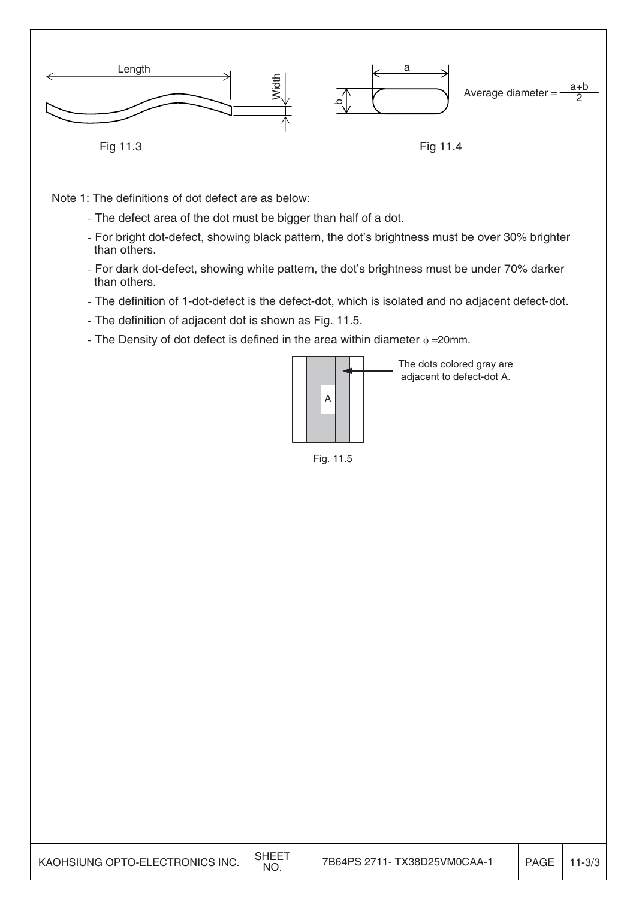

Note 1: The definitions of dot defect are as below:

- The defect area of the dot must be bigger than half of a dot.
- For bright dot-defect, showing black pattern, the dot's brightness must be over 30% brighter than others.
- For dark dot-defect, showing white pattern, the dot's brightness must be under 70% darker than others.
- The definition of 1-dot-defect is the defect-dot, which is isolated and no adjacent defect-dot.
- The definition of adjacent dot is shown as Fig. 11.5.
- The Density of dot defect is defined in the area within diameter  $\phi = 20$ mm.



Fig. 11.5

| KAOHSIUNG OPTO-ELECTRONICS INC. | SHEE <sup>-</sup><br><b>NO</b> | 7B64PS 2711- TX38D25VM0CAA-1 | PAGE | $11 - 3/3$ |
|---------------------------------|--------------------------------|------------------------------|------|------------|
|---------------------------------|--------------------------------|------------------------------|------|------------|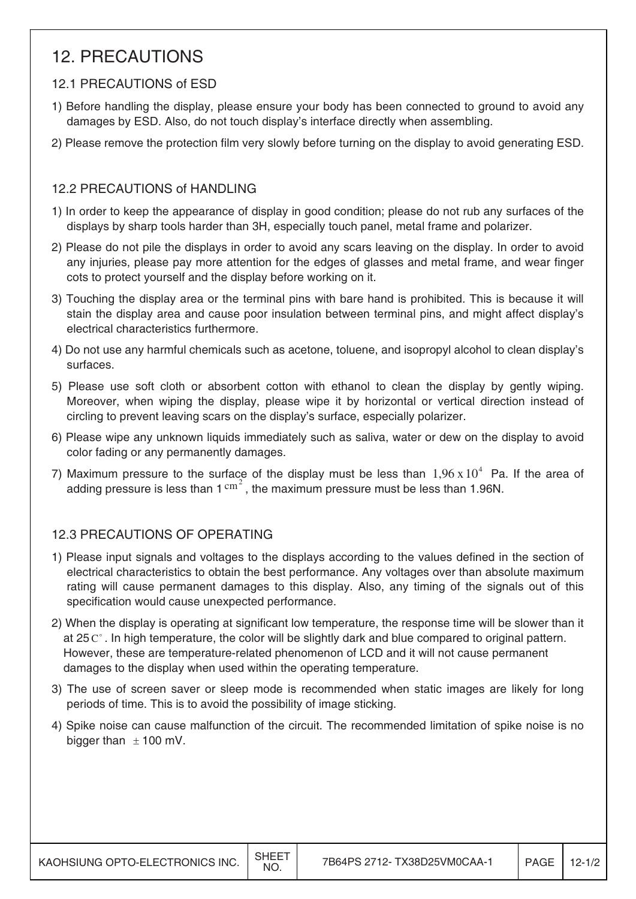## 12. PRECAUTIONS

### 12.1 PRECAUTIONS of ESD

- 1) Before handling the display, please ensure your body has been connected to ground to avoid any damages by ESD. Also, do not touch display's interface directly when assembling.
- 2) Please remove the protection film very slowly before turning on the display to avoid generating ESD.

### 12.2 PRECAUTIONS of HANDLING

- 1) In order to keep the appearance of display in good condition; please do not rub any surfaces of the displays by sharp tools harder than 3H, especially touch panel, metal frame and polarizer.
- 2) Please do not pile the displays in order to avoid any scars leaving on the display. In order to avoid any injuries, please pay more attention for the edges of glasses and metal frame, and wear finger cots to protect yourself and the display before working on it.
- 3) Touching the display area or the terminal pins with bare hand is prohibited. This is because it will stain the display area and cause poor insulation between terminal pins, and might affect display's electrical characteristics furthermore.
- 4) Do not use any harmful chemicals such as acetone, toluene, and isopropyl alcohol to clean display's surfaces.
- 5) Please use soft cloth or absorbent cotton with ethanol to clean the display by gently wiping. Moreover, when wiping the display, please wipe it by horizontal or vertical direction instead of circling to prevent leaving scars on the display's surface, especially polarizer.
- 6) Please wipe any unknown liquids immediately such as saliva, water or dew on the display to avoid color fading or any permanently damages.
- 7) Maximum pressure to the surface of the display must be less than  $1.96 \times 10^4$  Pa. If the area of adding pressure is less than  $1 \text{ cm}^2$ , the maximum pressure must be less than 1.96N.

## 12.3 PRECAUTIONS OF OPERATING

- 1) Please input signals and voltages to the displays according to the values defined in the section of electrical characteristics to obtain the best performance. Any voltages over than absolute maximum rating will cause permanent damages to this display. Also, any timing of the signals out of this specification would cause unexpected performance.
- 2) When the display is operating at significant low temperature, the response time will be slower than it at 25  $\mathrm{C}^{\circ}$ . In high temperature, the color will be slightly dark and blue compared to original pattern. However, these are temperature-related phenomenon of LCD and it will not cause permanent damages to the display when used within the operating temperature.
- 3) The use of screen saver or sleep mode is recommended when static images are likely for long periods of time. This is to avoid the possibility of image sticking.
- 4) Spike noise can cause malfunction of the circuit. The recommended limitation of spike noise is no bigger than  $\pm$  100 mV.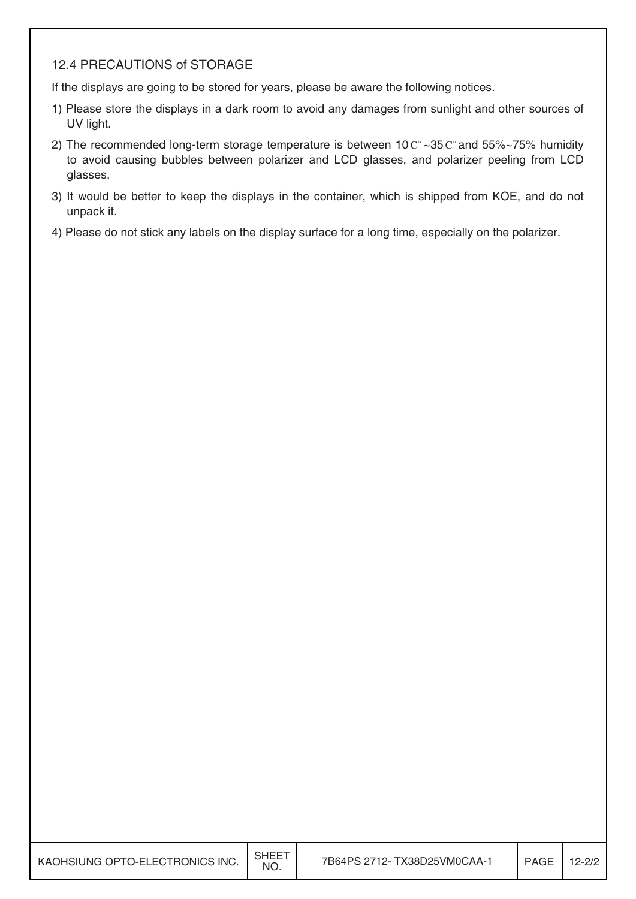#### 12.4 PRECAUTIONS of STORAGE

If the displays are going to be stored for years, please be aware the following notices.

- 1) Please store the displays in a dark room to avoid any damages from sunlight and other sources of UV light.
- 2) The recommended long-term storage temperature is between  $10 \degree \degree$  -35  $\degree \degree$  and 55%~75% humidity to avoid causing bubbles between polarizer and LCD glasses, and polarizer peeling from LCD glasses.
- 3) It would be better to keep the displays in the container, which is shipped from KOE, and do not unpack it.
- 4) Please do not stick any labels on the display surface for a long time, especially on the polarizer.

|                                 | ∣ SHEET |
|---------------------------------|---------|
| KAOHSIUNG OPTO-ELECTRONICS INC. | NO.     |